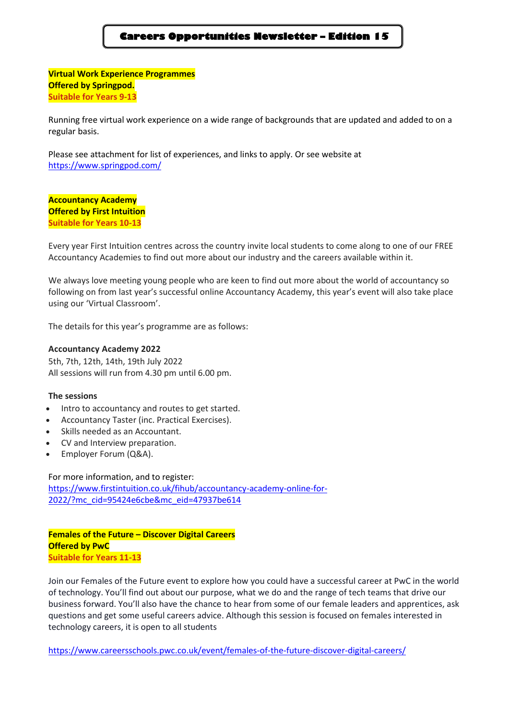# **Careers Opportunities Newsletter – Edition 15**

**Virtual Work Experience Programmes Offered by Springpod. Suitable for Years 9-13**

Running free virtual work experience on a wide range of backgrounds that are updated and added to on a regular basis.

Please see attachment for list of experiences, and links to apply. Or see website at <https://www.springpod.com/>

**Accountancy Academy Offered by First Intuition Suitable for Years 10-13**

Every year First Intuition centres across the country invite local students to come along to one of our FREE Accountancy Academies to find out more about our industry and the careers available within it.

We always love meeting young people who are keen to find out more about the world of accountancy so following on from last year's successful online Accountancy Academy, this year's event will also take place using our 'Virtual Classroom'.

The details for this year's programme are as follows:

#### **Accountancy Academy 2022**

5th, 7th, 12th, 14th, 19th July 2022 All sessions will run from 4.30 pm until 6.00 pm.

#### **The sessions**

- Intro to accountancy and routes to get started.
- Accountancy Taster (inc. Practical Exercises).
- Skills needed as an Accountant.
- CV and Interview preparation.
- Employer Forum (Q&A).

For more information, and to register: [https://www.firstintuition.co.uk/fihub/accountancy-academy-online-for-](https://www.firstintuition.co.uk/fihub/accountancy-academy-online-for-2022/?mc_cid=95424e6cbe&mc_eid=47937be614)[2022/?mc\\_cid=95424e6cbe&mc\\_eid=47937be614](https://www.firstintuition.co.uk/fihub/accountancy-academy-online-for-2022/?mc_cid=95424e6cbe&mc_eid=47937be614)

**Females of the Future – Discover Digital Careers Offered by PwC Suitable for Years 11-13**

Join our Females of the Future event to explore how you could have a successful career at PwC in the world of technology. You'll find out about our purpose, what we do and the range of tech teams that drive our business forward. You'll also have the chance to hear from some of our female leaders and apprentices, ask questions and get some useful careers advice. Although this session is focused on females interested in technology careers, it is open to all students

<https://www.careersschools.pwc.co.uk/event/females-of-the-future-discover-digital-careers/>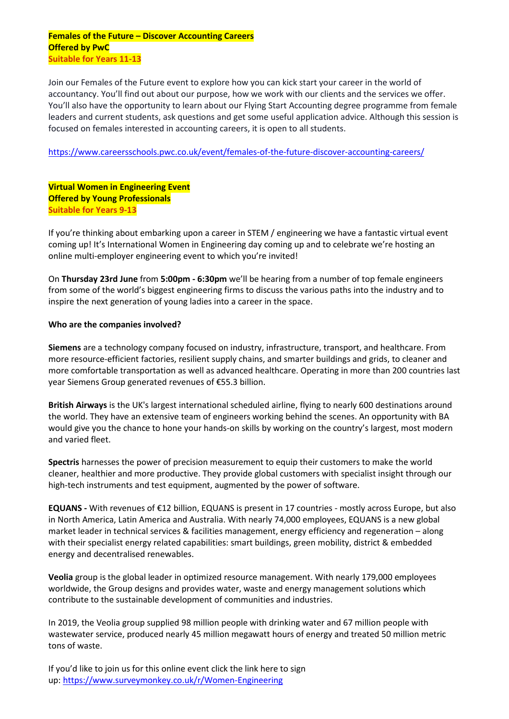### **Females of the Future – Discover Accounting Careers Offered by PwC Suitable for Years 11-13**

Join our Females of the Future event to explore how you can kick start your career in the world of accountancy. You'll find out about our purpose, how we work with our clients and the services we offer. You'll also have the opportunity to learn about our Flying Start Accounting degree programme from female leaders and current students, ask questions and get some useful application advice. Although this session is focused on females interested in accounting careers, it is open to all students.

<https://www.careersschools.pwc.co.uk/event/females-of-the-future-discover-accounting-careers/>

**Virtual Women in Engineering Event Offered by Young Professionals Suitable for Years 9-13**

If you're thinking about embarking upon a career in STEM / engineering we have a fantastic virtual event coming up! It's International Women in Engineering day coming up and to celebrate we're hosting an online multi-employer engineering event to which you're invited!

On **Thursday 23rd June** from **5:00pm - 6:30pm** we'll be hearing from a number of top female engineers from some of the world's biggest engineering firms to discuss the various paths into the industry and to inspire the next generation of young ladies into a career in the space.

## **Who are the companies involved?**

**Siemens** are a technology company focused on industry, infrastructure, transport, and healthcare. From more resource-efficient factories, resilient supply chains, and smarter buildings and grids, to cleaner and more comfortable transportation as well as advanced healthcare. Operating in more than 200 countries last year Siemens Group generated revenues of €55.3 billion.

**British Airways** is the UK's largest international scheduled airline, flying to nearly 600 destinations around the world. They have an extensive team of engineers working behind the scenes. An opportunity with BA would give you the chance to hone your hands-on skills by working on the country's largest, most modern and varied fleet.

**Spectris** harnesses the power of precision measurement to equip their customers to make the world cleaner, healthier and more productive. They provide global customers with specialist insight through our high-tech instruments and test equipment, augmented by the power of software.

**EQUANS -** With revenues of €12 billion, EQUANS is present in 17 countries - mostly across Europe, but also in North America, Latin America and Australia. With nearly 74,000 employees, EQUANS is a new global market leader in technical services & facilities management, energy efficiency and regeneration – along with their specialist energy related capabilities: smart buildings, green mobility, district & embedded energy and decentralised renewables.

**Veolia** group is the global leader in optimized resource management. With nearly 179,000 employees worldwide, the Group designs and provides water, waste and energy management solutions which contribute to the sustainable development of communities and industries.

In 2019, the Veolia group supplied 98 million people with drinking water and 67 million people with wastewater service, produced nearly 45 million megawatt hours of energy and treated 50 million metric tons of waste.

If you'd like to join us for this online event click the link here to sign up: <https://www.surveymonkey.co.uk/r/Women-Engineering>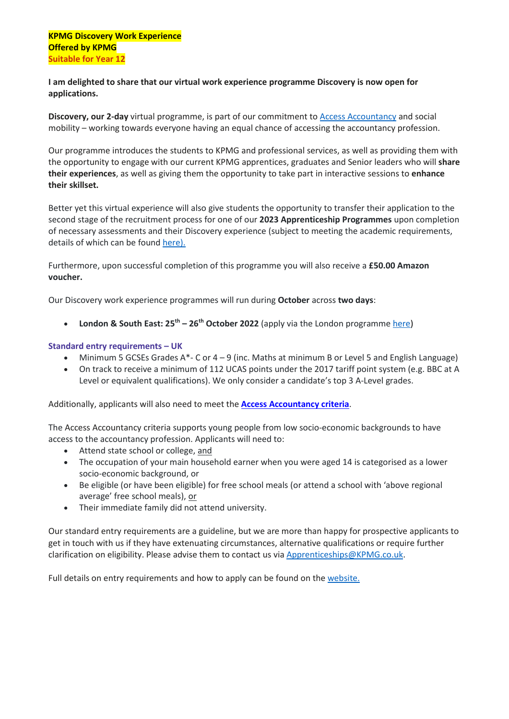**I am delighted to share that our virtual work experience programme Discovery is now open for applications.**

**Discovery, our 2-day** virtual programme, is part of our commitment to Access [Accountancy](https://www.accessaccountancy.org/) and social mobility – working towards everyone having an equal chance of accessing the accountancy profession.

Our programme introduces the students to KPMG and professional services, as well as providing them with the opportunity to engage with our current KPMG apprentices, graduates and Senior leaders who will **share their experiences**, as well as giving them the opportunity to take part in interactive sessions to **enhance their skillset.**

Better yet this virtual experience will also give students the opportunity to transfer their application to the second stage of the recruitment process for one of our **2023 Apprenticeship Programmes** upon completion of necessary assessments and their Discovery experience (subject to meeting the academic requirements, details of which can be found [here\).](https://www.kpmgcareers.co.uk/apprentice/)

Furthermore, upon successful completion of this programme you will also receive a **£50.00 Amazon voucher.**

Our Discovery work experience programmes will run during **October** across **two days**:

• **London & South East: 25th – 26th October 2022** (apply via the London programme [here\)](https://www.kpmgcareers.co.uk/vacancies/work-experience-discovery-insight-programme-london-tbc-2022/3cc85a69-1e4b-4f77-50e3-3d9d18a9daf7)

### **Standard entry requirements – UK**

- Minimum 5 GCSEs Grades A\*- C or 4 9 (inc. Maths at minimum B or Level 5 and English Language)
- On track to receive a minimum of 112 UCAS points under the 2017 tariff point system (e.g. BBC at A Level or equivalent qualifications). We only consider a candidate's top 3 A-Level grades.

Additionally, applicants will also need to meet the **Access [Accountancy](https://www.kpmgcareers.co.uk/apprenticeships/apprenticeship-programmes/kpmg-discovery#kpmg-discovery-week) criteria**.

The Access Accountancy criteria supports young people from low socio-economic backgrounds to have access to the accountancy profession. Applicants will need to:

- Attend state school or college, and
- The occupation of your main household earner when you were aged 14 is categorised as a lower socio-economic background, or
- Be eligible (or have been eligible) for free school meals (or attend a school with 'above regional average' free school meals), or
- Their immediate family did not attend university.

Our standard entry requirements are a guideline, but we are more than happy for prospective applicants to get in touch with us if they have extenuating circumstances, alternative qualifications or require further clarification on eligibility. Please advise them to contact us via [Apprenticeships@KPMG.co.uk.](mailto:Apprenticeships@KPMG.co.uk)

Full details on entry requirements and how to apply can be found on the [website.](https://www.kpmgcareers.co.uk/apprentice/discovery-work-experience/)